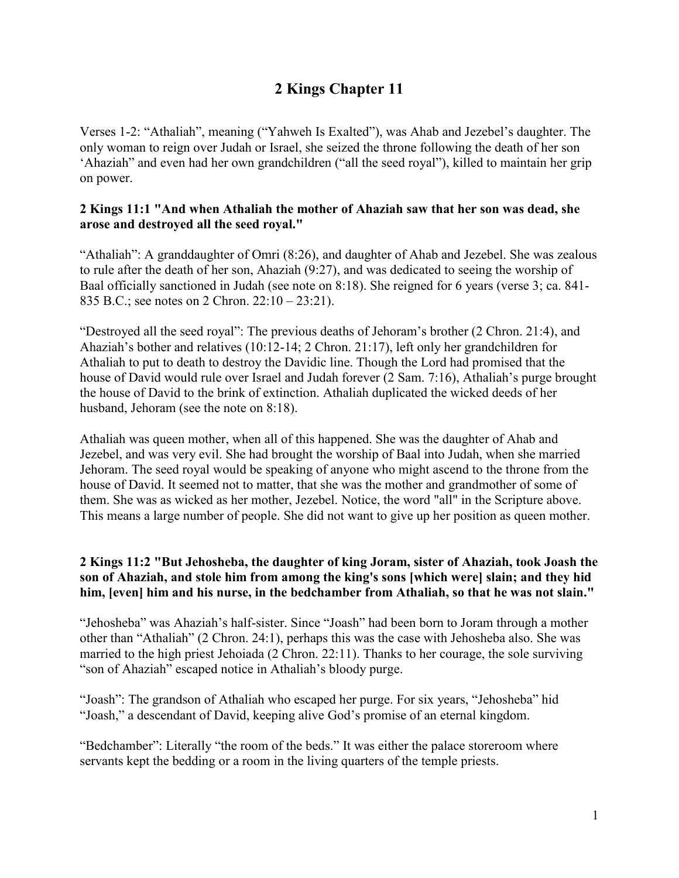# **2 Kings Chapter 11**

Verses 1-2: "Athaliah", meaning ("Yahweh Is Exalted"), was Ahab and Jezebel's daughter. The only woman to reign over Judah or Israel, she seized the throne following the death of her son 'Ahaziah" and even had her own grandchildren ("all the seed royal"), killed to maintain her grip on power.

#### **2 Kings 11:1 "And when Athaliah the mother of Ahaziah saw that her son was dead, she arose and destroyed all the seed royal."**

"Athaliah": A granddaughter of Omri (8:26), and daughter of Ahab and Jezebel. She was zealous to rule after the death of her son, Ahaziah (9:27), and was dedicated to seeing the worship of Baal officially sanctioned in Judah (see note on 8:18). She reigned for 6 years (verse 3; ca. 841- 835 B.C.; see notes on 2 Chron. 22:10 – 23:21).

"Destroyed all the seed royal": The previous deaths of Jehoram's brother (2 Chron. 21:4), and Ahaziah's bother and relatives (10:12-14; 2 Chron. 21:17), left only her grandchildren for Athaliah to put to death to destroy the Davidic line. Though the Lord had promised that the house of David would rule over Israel and Judah forever (2 Sam. 7:16), Athaliah's purge brought the house of David to the brink of extinction. Athaliah duplicated the wicked deeds of her husband, Jehoram (see the note on 8:18).

Athaliah was queen mother, when all of this happened. She was the daughter of Ahab and Jezebel, and was very evil. She had brought the worship of Baal into Judah, when she married Jehoram. The seed royal would be speaking of anyone who might ascend to the throne from the house of David. It seemed not to matter, that she was the mother and grandmother of some of them. She was as wicked as her mother, Jezebel. Notice, the word "all" in the Scripture above. This means a large number of people. She did not want to give up her position as queen mother.

### **2 Kings 11:2 "But Jehosheba, the daughter of king Joram, sister of Ahaziah, took Joash the son of Ahaziah, and stole him from among the king's sons [which were] slain; and they hid him, [even] him and his nurse, in the bedchamber from Athaliah, so that he was not slain."**

"Jehosheba" was Ahaziah's half-sister. Since "Joash" had been born to Joram through a mother other than "Athaliah" (2 Chron. 24:1), perhaps this was the case with Jehosheba also. She was married to the high priest Jehoiada (2 Chron. 22:11). Thanks to her courage, the sole surviving "son of Ahaziah" escaped notice in Athaliah's bloody purge.

"Joash": The grandson of Athaliah who escaped her purge. For six years, "Jehosheba" hid "Joash," a descendant of David, keeping alive God's promise of an eternal kingdom.

"Bedchamber": Literally "the room of the beds." It was either the palace storeroom where servants kept the bedding or a room in the living quarters of the temple priests.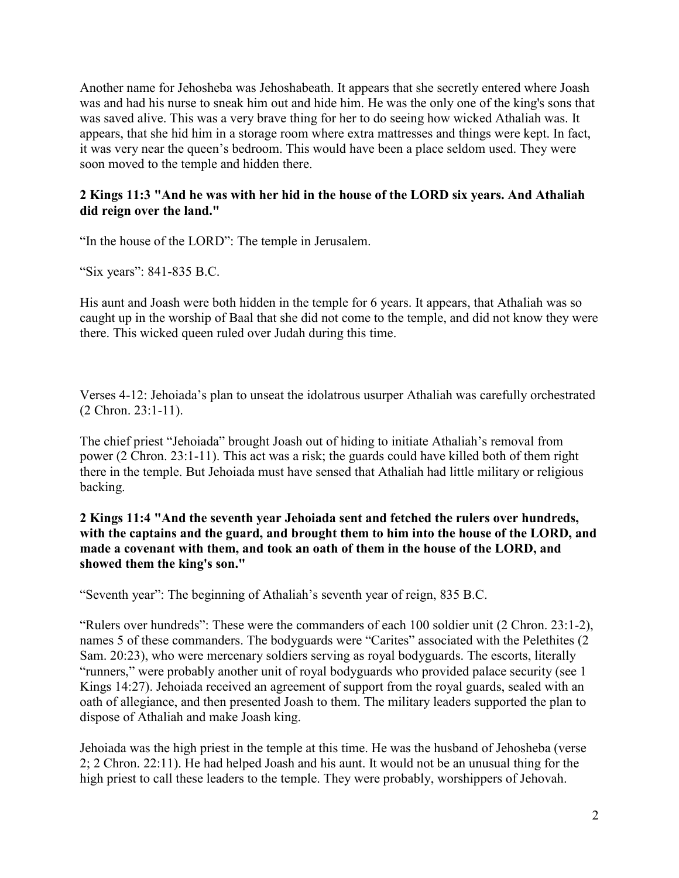Another name for Jehosheba was Jehoshabeath. It appears that she secretly entered where Joash was and had his nurse to sneak him out and hide him. He was the only one of the king's sons that was saved alive. This was a very brave thing for her to do seeing how wicked Athaliah was. It appears, that she hid him in a storage room where extra mattresses and things were kept. In fact, it was very near the queen's bedroom. This would have been a place seldom used. They were soon moved to the temple and hidden there.

# **2 Kings 11:3 "And he was with her hid in the house of the LORD six years. And Athaliah did reign over the land."**

"In the house of the LORD": The temple in Jerusalem.

"Six years": 841-835 B.C.

His aunt and Joash were both hidden in the temple for 6 years. It appears, that Athaliah was so caught up in the worship of Baal that she did not come to the temple, and did not know they were there. This wicked queen ruled over Judah during this time.

Verses 4-12: Jehoiada's plan to unseat the idolatrous usurper Athaliah was carefully orchestrated (2 Chron. 23:1-11).

The chief priest "Jehoiada" brought Joash out of hiding to initiate Athaliah's removal from power (2 Chron. 23:1-11). This act was a risk; the guards could have killed both of them right there in the temple. But Jehoiada must have sensed that Athaliah had little military or religious backing.

**2 Kings 11:4 "And the seventh year Jehoiada sent and fetched the rulers over hundreds, with the captains and the guard, and brought them to him into the house of the LORD, and made a covenant with them, and took an oath of them in the house of the LORD, and showed them the king's son."**

"Seventh year": The beginning of Athaliah's seventh year of reign, 835 B.C.

"Rulers over hundreds": These were the commanders of each 100 soldier unit (2 Chron. 23:1-2), names 5 of these commanders. The bodyguards were "Carites" associated with the Pelethites (2 Sam. 20:23), who were mercenary soldiers serving as royal bodyguards. The escorts, literally "runners," were probably another unit of royal bodyguards who provided palace security (see 1 Kings 14:27). Jehoiada received an agreement of support from the royal guards, sealed with an oath of allegiance, and then presented Joash to them. The military leaders supported the plan to dispose of Athaliah and make Joash king.

Jehoiada was the high priest in the temple at this time. He was the husband of Jehosheba (verse 2; 2 Chron. 22:11). He had helped Joash and his aunt. It would not be an unusual thing for the high priest to call these leaders to the temple. They were probably, worshippers of Jehovah.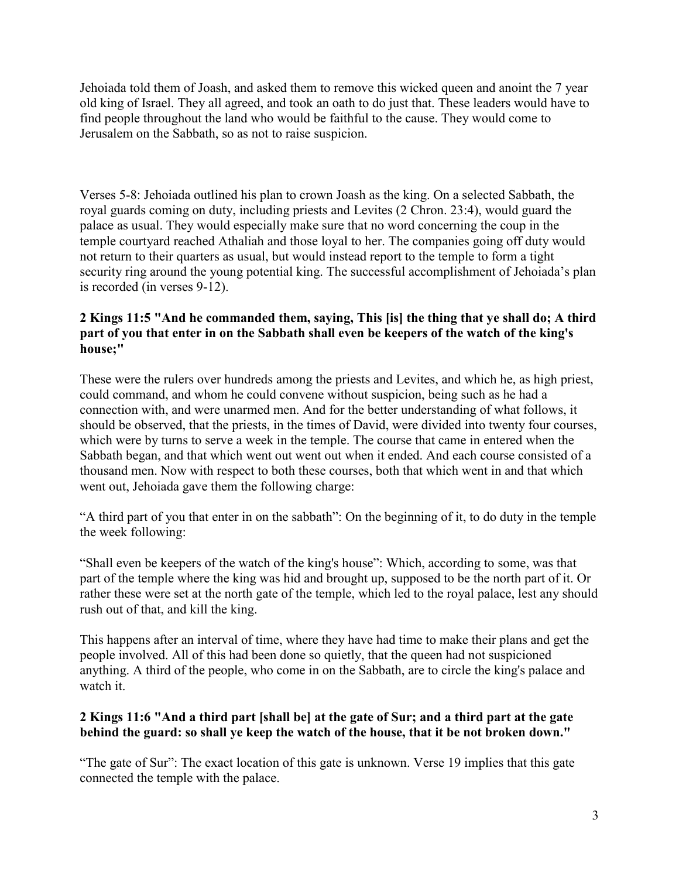Jehoiada told them of Joash, and asked them to remove this wicked queen and anoint the 7 year old king of Israel. They all agreed, and took an oath to do just that. These leaders would have to find people throughout the land who would be faithful to the cause. They would come to Jerusalem on the Sabbath, so as not to raise suspicion.

Verses 5-8: Jehoiada outlined his plan to crown Joash as the king. On a selected Sabbath, the royal guards coming on duty, including priests and Levites (2 Chron. 23:4), would guard the palace as usual. They would especially make sure that no word concerning the coup in the temple courtyard reached Athaliah and those loyal to her. The companies going off duty would not return to their quarters as usual, but would instead report to the temple to form a tight security ring around the young potential king. The successful accomplishment of Jehoiada's plan is recorded (in verses 9-12).

# **2 Kings 11:5 "And he commanded them, saying, This [is] the thing that ye shall do; A third part of you that enter in on the Sabbath shall even be keepers of the watch of the king's house;"**

These were the rulers over hundreds among the priests and Levites, and which he, as high priest, could command, and whom he could convene without suspicion, being such as he had a connection with, and were unarmed men. And for the better understanding of what follows, it should be observed, that the priests, in the times of David, were divided into twenty four courses, which were by turns to serve a week in the temple. The course that came in entered when the Sabbath began, and that which went out went out when it ended. And each course consisted of a thousand men. Now with respect to both these courses, both that which went in and that which went out, Jehoiada gave them the following charge:

"A third part of you that enter in on the sabbath": On the beginning of it, to do duty in the temple the week following:

"Shall even be keepers of the watch of the king's house": Which, according to some, was that part of the temple where the king was hid and brought up, supposed to be the north part of it. Or rather these were set at the north gate of the temple, which led to the royal palace, lest any should rush out of that, and kill the king.

This happens after an interval of time, where they have had time to make their plans and get the people involved. All of this had been done so quietly, that the queen had not suspicioned anything. A third of the people, who come in on the Sabbath, are to circle the king's palace and watch it.

# **2 Kings 11:6 "And a third part [shall be] at the gate of Sur; and a third part at the gate behind the guard: so shall ye keep the watch of the house, that it be not broken down."**

"The gate of Sur": The exact location of this gate is unknown. Verse 19 implies that this gate connected the temple with the palace.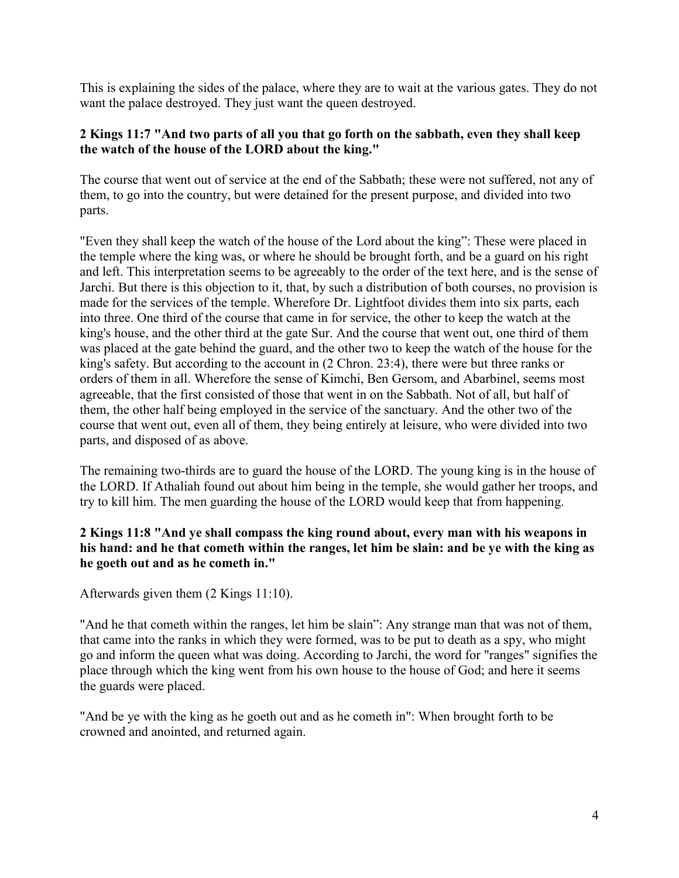This is explaining the sides of the palace, where they are to wait at the various gates. They do not want the palace destroyed. They just want the queen destroyed.

# **2 Kings 11:7 "And two parts of all you that go forth on the sabbath, even they shall keep the watch of the house of the LORD about the king."**

The course that went out of service at the end of the Sabbath; these were not suffered, not any of them, to go into the country, but were detained for the present purpose, and divided into two parts.

"Even they shall keep the watch of the house of the Lord about the king": These were placed in the temple where the king was, or where he should be brought forth, and be a guard on his right and left. This interpretation seems to be agreeably to the order of the text here, and is the sense of Jarchi. But there is this objection to it, that, by such a distribution of both courses, no provision is made for the services of the temple. Wherefore Dr. Lightfoot divides them into six parts, each into three. One third of the course that came in for service, the other to keep the watch at the king's house, and the other third at the gate Sur. And the course that went out, one third of them was placed at the gate behind the guard, and the other two to keep the watch of the house for the king's safety. But according to the account in (2 Chron. 23:4), there were but three ranks or orders of them in all. Wherefore the sense of Kimchi, Ben Gersom, and Abarbinel, seems most agreeable, that the first consisted of those that went in on the Sabbath. Not of all, but half of them, the other half being employed in the service of the sanctuary. And the other two of the course that went out, even all of them, they being entirely at leisure, who were divided into two parts, and disposed of as above.

The remaining two-thirds are to guard the house of the LORD. The young king is in the house of the LORD. If Athaliah found out about him being in the temple, she would gather her troops, and try to kill him. The men guarding the house of the LORD would keep that from happening.

# **2 Kings 11:8 "And ye shall compass the king round about, every man with his weapons in his hand: and he that cometh within the ranges, let him be slain: and be ye with the king as he goeth out and as he cometh in."**

Afterwards given them (2 Kings 11:10).

"And he that cometh within the ranges, let him be slain": Any strange man that was not of them, that came into the ranks in which they were formed, was to be put to death as a spy, who might go and inform the queen what was doing. According to Jarchi, the word for "ranges" signifies the place through which the king went from his own house to the house of God; and here it seems the guards were placed.

"And be ye with the king as he goeth out and as he cometh in": When brought forth to be crowned and anointed, and returned again.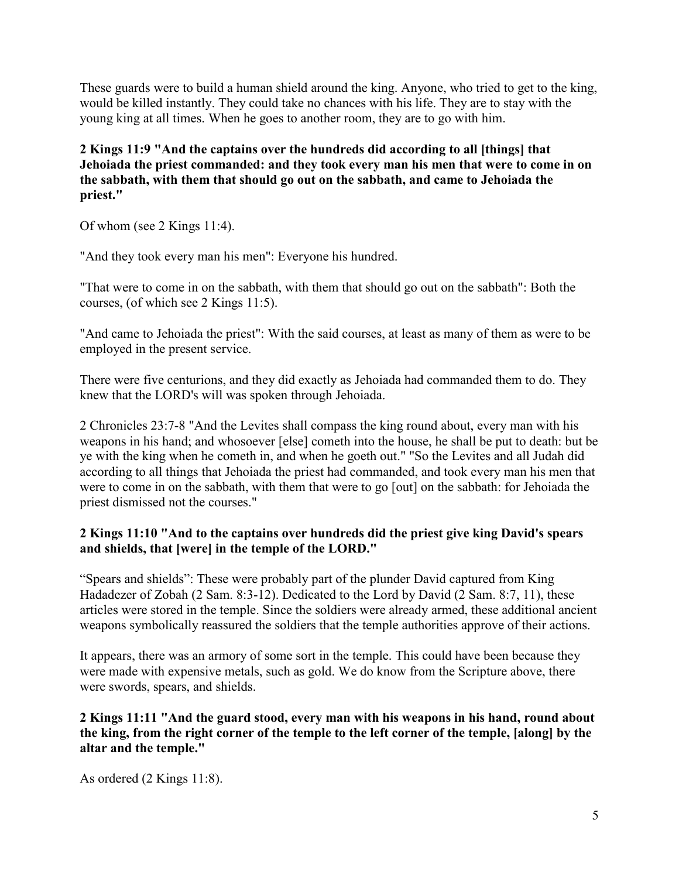These guards were to build a human shield around the king. Anyone, who tried to get to the king, would be killed instantly. They could take no chances with his life. They are to stay with the young king at all times. When he goes to another room, they are to go with him.

**2 Kings 11:9 "And the captains over the hundreds did according to all [things] that Jehoiada the priest commanded: and they took every man his men that were to come in on the sabbath, with them that should go out on the sabbath, and came to Jehoiada the priest."**

Of whom (see 2 Kings 11:4).

"And they took every man his men": Everyone his hundred.

"That were to come in on the sabbath, with them that should go out on the sabbath": Both the courses, (of which see 2 Kings 11:5).

"And came to Jehoiada the priest": With the said courses, at least as many of them as were to be employed in the present service.

There were five centurions, and they did exactly as Jehoiada had commanded them to do. They knew that the LORD's will was spoken through Jehoiada.

2 Chronicles 23:7-8 "And the Levites shall compass the king round about, every man with his weapons in his hand; and whosoever [else] cometh into the house, he shall be put to death: but be ye with the king when he cometh in, and when he goeth out." "So the Levites and all Judah did according to all things that Jehoiada the priest had commanded, and took every man his men that were to come in on the sabbath, with them that were to go [out] on the sabbath: for Jehoiada the priest dismissed not the courses."

# **2 Kings 11:10 "And to the captains over hundreds did the priest give king David's spears and shields, that [were] in the temple of the LORD."**

"Spears and shields": These were probably part of the plunder David captured from King Hadadezer of Zobah (2 Sam. 8:3-12). Dedicated to the Lord by David (2 Sam. 8:7, 11), these articles were stored in the temple. Since the soldiers were already armed, these additional ancient weapons symbolically reassured the soldiers that the temple authorities approve of their actions.

It appears, there was an armory of some sort in the temple. This could have been because they were made with expensive metals, such as gold. We do know from the Scripture above, there were swords, spears, and shields.

# **2 Kings 11:11 "And the guard stood, every man with his weapons in his hand, round about the king, from the right corner of the temple to the left corner of the temple, [along] by the altar and the temple."**

As ordered (2 Kings 11:8).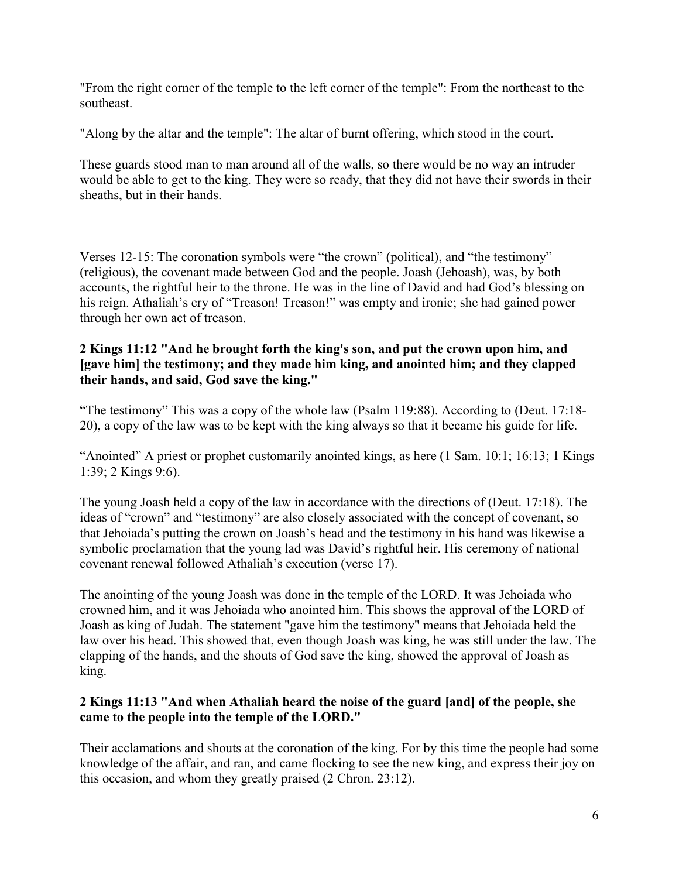"From the right corner of the temple to the left corner of the temple": From the northeast to the southeast.

"Along by the altar and the temple": The altar of burnt offering, which stood in the court.

These guards stood man to man around all of the walls, so there would be no way an intruder would be able to get to the king. They were so ready, that they did not have their swords in their sheaths, but in their hands.

Verses 12-15: The coronation symbols were "the crown" (political), and "the testimony" (religious), the covenant made between God and the people. Joash (Jehoash), was, by both accounts, the rightful heir to the throne. He was in the line of David and had God's blessing on his reign. Athaliah's cry of "Treason! Treason!" was empty and ironic; she had gained power through her own act of treason.

### **2 Kings 11:12 "And he brought forth the king's son, and put the crown upon him, and [gave him] the testimony; and they made him king, and anointed him; and they clapped their hands, and said, God save the king."**

"The testimony" This was a copy of the whole law (Psalm 119:88). According to (Deut. 17:18- 20), a copy of the law was to be kept with the king always so that it became his guide for life.

"Anointed" A priest or prophet customarily anointed kings, as here (1 Sam. 10:1; 16:13; 1 Kings 1:39; 2 Kings 9:6).

The young Joash held a copy of the law in accordance with the directions of (Deut. 17:18). The ideas of "crown" and "testimony" are also closely associated with the concept of covenant, so that Jehoiada's putting the crown on Joash's head and the testimony in his hand was likewise a symbolic proclamation that the young lad was David's rightful heir. His ceremony of national covenant renewal followed Athaliah's execution (verse 17).

The anointing of the young Joash was done in the temple of the LORD. It was Jehoiada who crowned him, and it was Jehoiada who anointed him. This shows the approval of the LORD of Joash as king of Judah. The statement "gave him the testimony" means that Jehoiada held the law over his head. This showed that, even though Joash was king, he was still under the law. The clapping of the hands, and the shouts of God save the king, showed the approval of Joash as king.

# **2 Kings 11:13 "And when Athaliah heard the noise of the guard [and] of the people, she came to the people into the temple of the LORD."**

Their acclamations and shouts at the coronation of the king. For by this time the people had some knowledge of the affair, and ran, and came flocking to see the new king, and express their joy on this occasion, and whom they greatly praised (2 Chron. 23:12).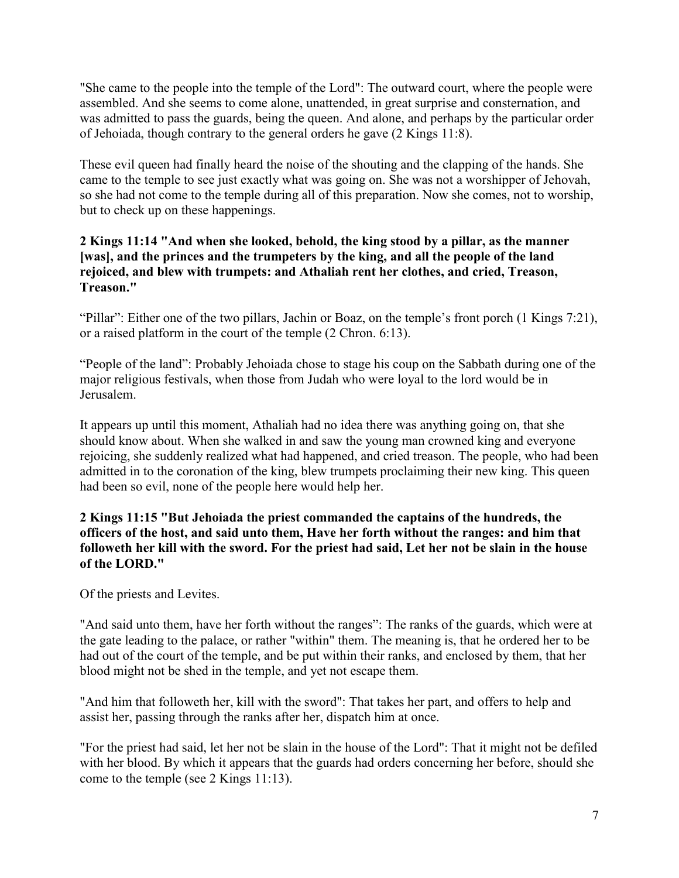"She came to the people into the temple of the Lord": The outward court, where the people were assembled. And she seems to come alone, unattended, in great surprise and consternation, and was admitted to pass the guards, being the queen. And alone, and perhaps by the particular order of Jehoiada, though contrary to the general orders he gave (2 Kings 11:8).

These evil queen had finally heard the noise of the shouting and the clapping of the hands. She came to the temple to see just exactly what was going on. She was not a worshipper of Jehovah, so she had not come to the temple during all of this preparation. Now she comes, not to worship, but to check up on these happenings.

## **2 Kings 11:14 "And when she looked, behold, the king stood by a pillar, as the manner [was], and the princes and the trumpeters by the king, and all the people of the land rejoiced, and blew with trumpets: and Athaliah rent her clothes, and cried, Treason, Treason."**

"Pillar": Either one of the two pillars, Jachin or Boaz, on the temple's front porch (1 Kings 7:21), or a raised platform in the court of the temple (2 Chron. 6:13).

"People of the land": Probably Jehoiada chose to stage his coup on the Sabbath during one of the major religious festivals, when those from Judah who were loyal to the lord would be in Jerusalem.

It appears up until this moment, Athaliah had no idea there was anything going on, that she should know about. When she walked in and saw the young man crowned king and everyone rejoicing, she suddenly realized what had happened, and cried treason. The people, who had been admitted in to the coronation of the king, blew trumpets proclaiming their new king. This queen had been so evil, none of the people here would help her.

# **2 Kings 11:15 "But Jehoiada the priest commanded the captains of the hundreds, the officers of the host, and said unto them, Have her forth without the ranges: and him that followeth her kill with the sword. For the priest had said, Let her not be slain in the house of the LORD."**

Of the priests and Levites.

"And said unto them, have her forth without the ranges": The ranks of the guards, which were at the gate leading to the palace, or rather "within" them. The meaning is, that he ordered her to be had out of the court of the temple, and be put within their ranks, and enclosed by them, that her blood might not be shed in the temple, and yet not escape them.

"And him that followeth her, kill with the sword": That takes her part, and offers to help and assist her, passing through the ranks after her, dispatch him at once.

"For the priest had said, let her not be slain in the house of the Lord": That it might not be defiled with her blood. By which it appears that the guards had orders concerning her before, should she come to the temple (see 2 Kings 11:13).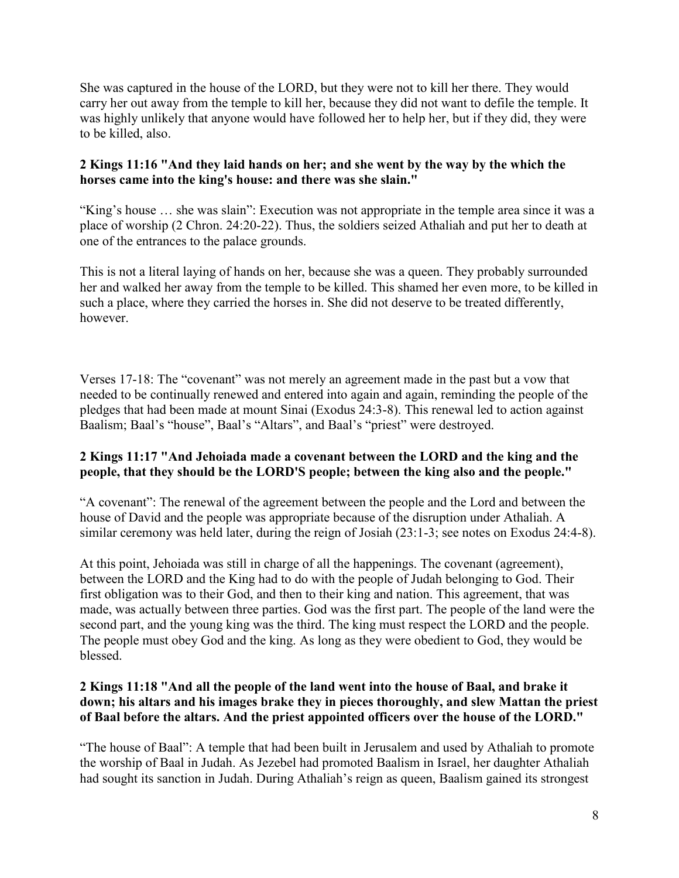She was captured in the house of the LORD, but they were not to kill her there. They would carry her out away from the temple to kill her, because they did not want to defile the temple. It was highly unlikely that anyone would have followed her to help her, but if they did, they were to be killed, also.

# **2 Kings 11:16 "And they laid hands on her; and she went by the way by the which the horses came into the king's house: and there was she slain."**

"King's house … she was slain": Execution was not appropriate in the temple area since it was a place of worship (2 Chron. 24:20-22). Thus, the soldiers seized Athaliah and put her to death at one of the entrances to the palace grounds.

This is not a literal laying of hands on her, because she was a queen. They probably surrounded her and walked her away from the temple to be killed. This shamed her even more, to be killed in such a place, where they carried the horses in. She did not deserve to be treated differently, however.

Verses 17-18: The "covenant" was not merely an agreement made in the past but a vow that needed to be continually renewed and entered into again and again, reminding the people of the pledges that had been made at mount Sinai (Exodus 24:3-8). This renewal led to action against Baalism; Baal's "house", Baal's "Altars", and Baal's "priest" were destroyed.

# **2 Kings 11:17 "And Jehoiada made a covenant between the LORD and the king and the people, that they should be the LORD'S people; between the king also and the people."**

"A covenant": The renewal of the agreement between the people and the Lord and between the house of David and the people was appropriate because of the disruption under Athaliah. A similar ceremony was held later, during the reign of Josiah (23:1-3; see notes on Exodus 24:4-8).

At this point, Jehoiada was still in charge of all the happenings. The covenant (agreement), between the LORD and the King had to do with the people of Judah belonging to God. Their first obligation was to their God, and then to their king and nation. This agreement, that was made, was actually between three parties. God was the first part. The people of the land were the second part, and the young king was the third. The king must respect the LORD and the people. The people must obey God and the king. As long as they were obedient to God, they would be blessed.

# **2 Kings 11:18 "And all the people of the land went into the house of Baal, and brake it down; his altars and his images brake they in pieces thoroughly, and slew Mattan the priest of Baal before the altars. And the priest appointed officers over the house of the LORD."**

"The house of Baal": A temple that had been built in Jerusalem and used by Athaliah to promote the worship of Baal in Judah. As Jezebel had promoted Baalism in Israel, her daughter Athaliah had sought its sanction in Judah. During Athaliah's reign as queen, Baalism gained its strongest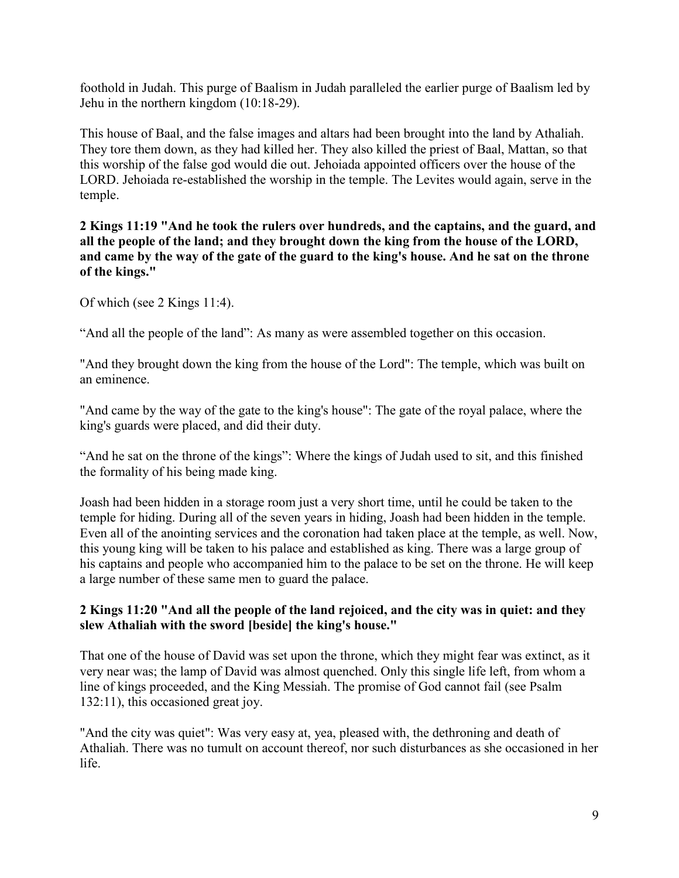foothold in Judah. This purge of Baalism in Judah paralleled the earlier purge of Baalism led by Jehu in the northern kingdom (10:18-29).

This house of Baal, and the false images and altars had been brought into the land by Athaliah. They tore them down, as they had killed her. They also killed the priest of Baal, Mattan, so that this worship of the false god would die out. Jehoiada appointed officers over the house of the LORD. Jehoiada re-established the worship in the temple. The Levites would again, serve in the temple.

**2 Kings 11:19 "And he took the rulers over hundreds, and the captains, and the guard, and all the people of the land; and they brought down the king from the house of the LORD, and came by the way of the gate of the guard to the king's house. And he sat on the throne of the kings."**

Of which (see 2 Kings 11:4).

"And all the people of the land": As many as were assembled together on this occasion.

"And they brought down the king from the house of the Lord": The temple, which was built on an eminence.

"And came by the way of the gate to the king's house": The gate of the royal palace, where the king's guards were placed, and did their duty.

"And he sat on the throne of the kings": Where the kings of Judah used to sit, and this finished the formality of his being made king.

Joash had been hidden in a storage room just a very short time, until he could be taken to the temple for hiding. During all of the seven years in hiding, Joash had been hidden in the temple. Even all of the anointing services and the coronation had taken place at the temple, as well. Now, this young king will be taken to his palace and established as king. There was a large group of his captains and people who accompanied him to the palace to be set on the throne. He will keep a large number of these same men to guard the palace.

# **2 Kings 11:20 "And all the people of the land rejoiced, and the city was in quiet: and they slew Athaliah with the sword [beside] the king's house."**

That one of the house of David was set upon the throne, which they might fear was extinct, as it very near was; the lamp of David was almost quenched. Only this single life left, from whom a line of kings proceeded, and the King Messiah. The promise of God cannot fail (see Psalm 132:11), this occasioned great joy.

"And the city was quiet": Was very easy at, yea, pleased with, the dethroning and death of Athaliah. There was no tumult on account thereof, nor such disturbances as she occasioned in her life.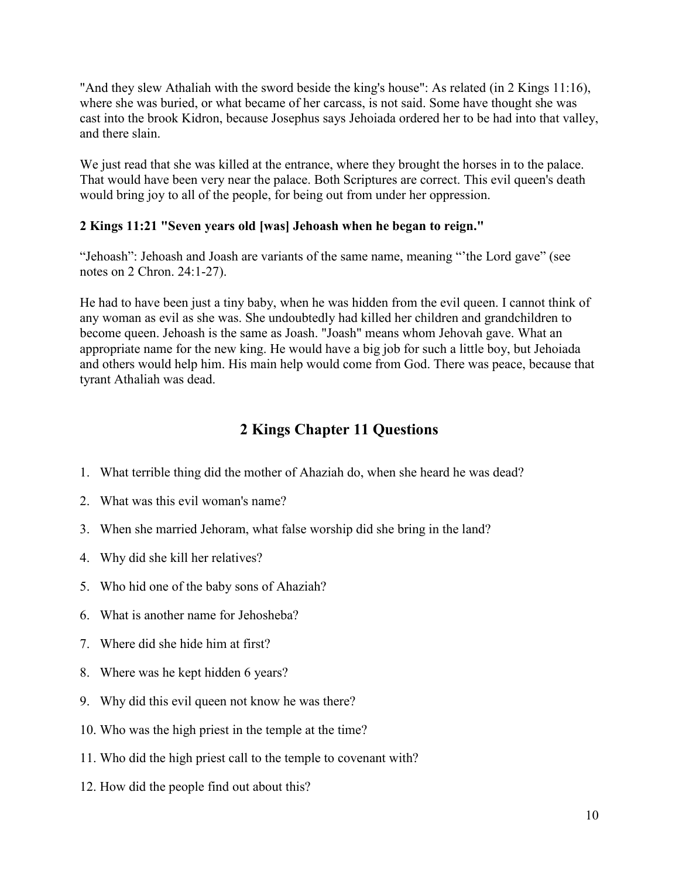"And they slew Athaliah with the sword beside the king's house": As related (in 2 Kings 11:16), where she was buried, or what became of her carcass, is not said. Some have thought she was cast into the brook Kidron, because Josephus says Jehoiada ordered her to be had into that valley, and there slain.

We just read that she was killed at the entrance, where they brought the horses in to the palace. That would have been very near the palace. Both Scriptures are correct. This evil queen's death would bring joy to all of the people, for being out from under her oppression.

# **2 Kings 11:21 "Seven years old [was] Jehoash when he began to reign."**

"Jehoash": Jehoash and Joash are variants of the same name, meaning "'the Lord gave" (see notes on 2 Chron. 24:1-27).

He had to have been just a tiny baby, when he was hidden from the evil queen. I cannot think of any woman as evil as she was. She undoubtedly had killed her children and grandchildren to become queen. Jehoash is the same as Joash. "Joash" means whom Jehovah gave. What an appropriate name for the new king. He would have a big job for such a little boy, but Jehoiada and others would help him. His main help would come from God. There was peace, because that tyrant Athaliah was dead.

# **2 Kings Chapter 11 Questions**

- 1. What terrible thing did the mother of Ahaziah do, when she heard he was dead?
- 2. What was this evil woman's name?
- 3. When she married Jehoram, what false worship did she bring in the land?
- 4. Why did she kill her relatives?
- 5. Who hid one of the baby sons of Ahaziah?
- 6. What is another name for Jehosheba?
- 7. Where did she hide him at first?
- 8. Where was he kept hidden 6 years?
- 9. Why did this evil queen not know he was there?
- 10. Who was the high priest in the temple at the time?
- 11. Who did the high priest call to the temple to covenant with?
- 12. How did the people find out about this?